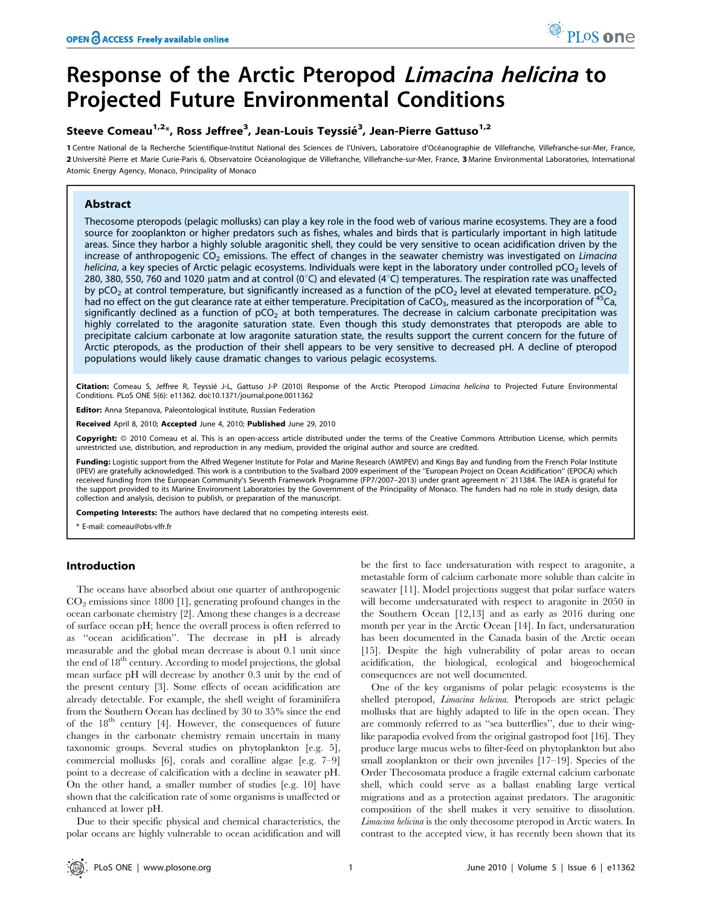# Response of the Arctic Pteropod Limacina helicina to Projected Future Environmental Conditions

### Steeve Comeau<sup>1,2</sup>\*, Ross Jeffree<sup>3</sup>, Jean-Louis Teyssié<sup>3</sup>, Jean-Pierre Gattuso<sup>1,2</sup>

1 Centre National de la Recherche Scientifique-Institut National des Sciences de l'Univers, Laboratoire d'Océanographie de Villefranche, Villefranche-sur-Mer, France, 2 Université Pierre et Marie Curie-Paris 6, Observatoire Océanologique de Villefranche, Villefranche-sur-Mer, France, 3 Marine Environmental Laboratories, International Atomic Energy Agency, Monaco, Principality of Monaco

### Abstract

Thecosome pteropods (pelagic mollusks) can play a key role in the food web of various marine ecosystems. They are a food source for zooplankton or higher predators such as fishes, whales and birds that is particularly important in high latitude areas. Since they harbor a highly soluble aragonitic shell, they could be very sensitive to ocean acidification driven by the increase of anthropogenic  $CO<sub>2</sub>$  emissions. The effect of changes in the seawater chemistry was investigated on Limacina helicina, a key species of Arctic pelagic ecosystems. Individuals were kept in the laboratory under controlled pCO<sub>2</sub> levels of 280, 380, 550, 760 and 1020 µatm and at control (0°C) and elevated (4°C) temperatures. The respiration rate was unaffected by pCO<sub>2</sub> at control temperature, but significantly increased as a function of the pCO<sub>2</sub> level at elevated temperature.  $pCO<sub>2</sub>$ had no effect on the gut clearance rate at either temperature. Precipitation of CaCO<sub>3</sub>, measured as the incorporation of <sup>45</sup>Ca, significantly declined as a function of  $pCO<sub>2</sub>$  at both temperatures. The decrease in calcium carbonate precipitation was highly correlated to the aragonite saturation state. Even though this study demonstrates that pteropods are able to precipitate calcium carbonate at low aragonite saturation state, the results support the current concern for the future of Arctic pteropods, as the production of their shell appears to be very sensitive to decreased pH. A decline of pteropod populations would likely cause dramatic changes to various pelagic ecosystems.

Citation: Comeau S, Jeffree R, Teyssié J-L, Gattuso J-P (2010) Response of the Arctic Pteropod Limacina helicina to Projected Future Environmental Conditions. PLoS ONE 5(6): e11362. doi:10.1371/journal.pone.0011362

Editor: Anna Stepanova, Paleontological Institute, Russian Federation

Received April 8, 2010; Accepted June 4, 2010; Published June 29, 2010

Copyright: © 2010 Comeau et al. This is an open-access article distributed under the terms of the Creative Commons Attribution License, which permits unrestricted use, distribution, and reproduction in any medium, provided the original author and source are credited.

Funding: Logistic support from the Alfred Wegener Institute for Polar and Marine Research (AWIPEV) and Kings Bay and funding from the French Polar Institute (IPEV) are gratefully acknowledged. This work is a contribution to the Svalbard 2009 experiment of the ''European Project on Ocean Acidification'' (EPOCA) which received funding from the European Community's Seventh Framework Programme (FP7/2007–2013) under grant agreement n° 211384. The IAEA is grateful for the support provided to its Marine Environment Laboratories by the Government of the Principality of Monaco. The funders had no role in study design, data collection and analysis, decision to publish, or preparation of the manuscript.

**ompeting Interests:** The authors have declared that no competing interests exist.

\* E-mail: comeau@obs-vlfr.fr

### Introduction

The oceans have absorbed about one quarter of anthropogenic  $CO<sub>2</sub>$  emissions since 1800 [1], generating profound changes in the ocean carbonate chemistry [2]. Among these changes is a decrease of surface ocean pH; hence the overall process is often referred to as ''ocean acidification''. The decrease in pH is already measurable and the global mean decrease is about 0.1 unit since the end of  $18<sup>th</sup>$  century. According to model projections, the global mean surface pH will decrease by another 0.3 unit by the end of the present century [3]. Some effects of ocean acidification are already detectable. For example, the shell weight of foraminifera from the Southern Ocean has declined by 30 to 35% since the end of the  $18<sup>th</sup>$  century [4]. However, the consequences of future changes in the carbonate chemistry remain uncertain in many taxonomic groups. Several studies on phytoplankton [e.g. 5], commercial mollusks [6], corals and coralline algae [e.g. 7–9] point to a decrease of calcification with a decline in seawater pH. On the other hand, a smaller number of studies [e.g. 10] have shown that the calcification rate of some organisms is unaffected or enhanced at lower pH.

Due to their specific physical and chemical characteristics, the polar oceans are highly vulnerable to ocean acidification and will be the first to face undersaturation with respect to aragonite, a metastable form of calcium carbonate more soluble than calcite in seawater [11]. Model projections suggest that polar surface waters will become undersaturated with respect to aragonite in 2050 in the Southern Ocean [12,13] and as early as 2016 during one month per year in the Arctic Ocean [14]. In fact, undersaturation has been documented in the Canada basin of the Arctic ocean [15]. Despite the high vulnerability of polar areas to ocean acidification, the biological, ecological and biogeochemical consequences are not well documented.

One of the key organisms of polar pelagic ecosystems is the shelled pteropod, Limacina helicina. Pteropods are strict pelagic mollusks that are highly adapted to life in the open ocean. They are commonly referred to as ''sea butterflies'', due to their winglike parapodia evolved from the original gastropod foot [16]. They produce large mucus webs to filter-feed on phytoplankton but also small zooplankton or their own juveniles [17–19]. Species of the Order Thecosomata produce a fragile external calcium carbonate shell, which could serve as a ballast enabling large vertical migrations and as a protection against predators. The aragonitic composition of the shell makes it very sensitive to dissolution. Limacina helicina is the only thecosome pteropod in Arctic waters. In contrast to the accepted view, it has recently been shown that its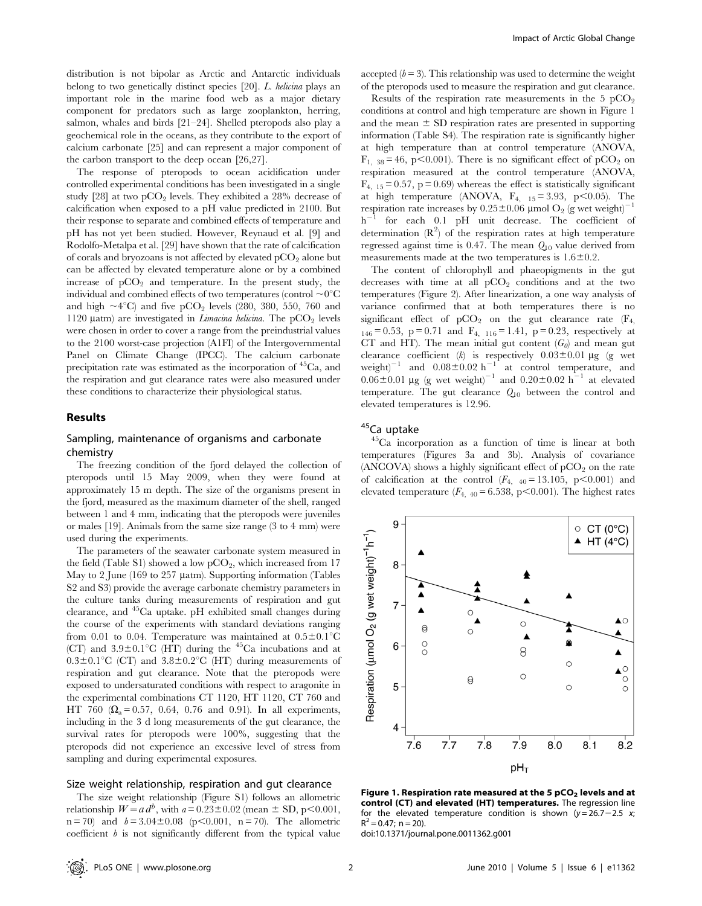distribution is not bipolar as Arctic and Antarctic individuals belong to two genetically distinct species [20]. L. helicina plays an important role in the marine food web as a major dietary component for predators such as large zooplankton, herring, salmon, whales and birds [21–24]. Shelled pteropods also play a geochemical role in the oceans, as they contribute to the export of calcium carbonate [25] and can represent a major component of the carbon transport to the deep ocean [26,27].

The response of pteropods to ocean acidification under controlled experimental conditions has been investigated in a single study [28] at two pCO<sub>2</sub> levels. They exhibited a  $28\%$  decrease of calcification when exposed to a pH value predicted in 2100. But their response to separate and combined effects of temperature and pH has not yet been studied. However, Reynaud et al. [9] and Rodolfo-Metalpa et al. [29] have shown that the rate of calcification of corals and bryozoans is not affected by elevated  $pCO<sub>2</sub>$  alone but can be affected by elevated temperature alone or by a combined increase of  $pCO<sub>2</sub>$  and temperature. In the present study, the individual and combined effects of two temperatures (control  $\sim 0^{\circ}$ C and high  $\sim 4^{\circ}$ C) and five pCO<sub>2</sub> levels (280, 380, 550, 760 and 1120  $\mu$ atm) are investigated in *Limacina helicina*. The pCO<sub>2</sub> levels were chosen in order to cover a range from the preindustrial values to the 2100 worst-case projection (A1FI) of the Intergovernmental Panel on Climate Change (IPCC). The calcium carbonate precipitation rate was estimated as the incorporation of 45Ca, and the respiration and gut clearance rates were also measured under these conditions to characterize their physiological status.

#### Results

### Sampling, maintenance of organisms and carbonate chemistry

The freezing condition of the fjord delayed the collection of pteropods until 15 May 2009, when they were found at approximately 15 m depth. The size of the organisms present in the fjord, measured as the maximum diameter of the shell, ranged between 1 and 4 mm, indicating that the pteropods were juveniles or males [19]. Animals from the same size range (3 to 4 mm) were used during the experiments.

The parameters of the seawater carbonate system measured in the field (Table S1) showed a low  $pCO<sub>2</sub>$ , which increased from 17 May to 2 June (169 to 257 µatm). Supporting information (Tables S2 and S3) provide the average carbonate chemistry parameters in the culture tanks during measurements of respiration and gut clearance, and 45Ca uptake. pH exhibited small changes during the course of the experiments with standard deviations ranging from 0.01 to 0.04. Temperature was maintained at  $0.5 \pm 0.1^{\circ}$ C (CT) and  $3.9\pm0.1^{\circ}$ C (HT) during the <sup>45</sup>Ca incubations and at  $0.3\pm0.1^{\circ}\text{C}$  (CT) and  $3.8\pm0.2^{\circ}\text{C}$  (HT) during measurements of respiration and gut clearance. Note that the pteropods were exposed to undersaturated conditions with respect to aragonite in the experimental combinations CT 1120, HT 1120, CT 760 and HT 760  $(\Omega_0 = 0.57, 0.64, 0.76, \text{ and } 0.91)$ . In all experiments, including in the 3 d long measurements of the gut clearance, the survival rates for pteropods were 100%, suggesting that the pteropods did not experience an excessive level of stress from sampling and during experimental exposures.

#### Size weight relationship, respiration and gut clearance

The size weight relationship (Figure S1) follows an allometric relationship  $W=a d^b$ , with  $a= 0.23\pm0.02$  (mean  $\pm$  SD, p $\leq 0.001$ ,  $n = 70$  and  $b = 3.04 \pm 0.08$  (p<0.001, n = 70). The allometric coefficient  $b$  is not significantly different from the typical value

accepted  $(b = 3)$ . This relationship was used to determine the weight of the pteropods used to measure the respiration and gut clearance.

Results of the respiration rate measurements in the  $5 pCO<sub>2</sub>$ conditions at control and high temperature are shown in Figure 1 and the mean  $\pm$  SD respiration rates are presented in supporting information (Table S4). The respiration rate is significantly higher at high temperature than at control temperature (ANOVA,  $F_{1, 38} = 46$ , p $< 0.001$ ). There is no significant effect of pCO<sub>2</sub> on respiration measured at the control temperature (ANOVA,  $F_{4, 15} = 0.57$ , p = 0.69) whereas the effect is statistically significant at high temperature (ANOVA,  $F_{4-15} = 3.93$ , p $\leq 0.05$ ). The respiration rate increases by  $0.25\pm0.06$  µmol O<sub>2</sub> (g wet weight)<sup>-1</sup>  $h^{-1}$  for each 0.1 pH unit decrease. The coefficient of determination  $(R^2)$  of the respiration rates at high temperature regressed against time is 0.47. The mean  $Q_{10}$  value derived from measurements made at the two temperatures is  $1.6 \pm 0.2$ .

The content of chlorophyll and phaeopigments in the gut decreases with time at all  $pCO<sub>2</sub>$  conditions and at the two temperatures (Figure 2). After linearization, a one way analysis of variance confirmed that at both temperatures there is no significant effect of  $pCO_2$  on the gut clearance rate  $(F_4,$  $_{146}$  = 0.53, p = 0.71 and  $F_{4, 116}$  = 1.41, p = 0.23, respectively at CT and HT). The mean initial gut content  $(G_0)$  and mean gut clearance coefficient  $(k)$  is respectively  $0.03\pm0.01$  µg (g wet weight)<sup>-1</sup> and  $0.08\pm0.02$  h<sup>-1</sup> at control temperature, and  $0.06\pm0.01$  µg (g wet weight)<sup>-1</sup> and  $0.20\pm0.02$  h<sup>-1</sup> at elevated temperature. The gut clearance  $Q_{10}$  between the control and elevated temperatures is 12.96.

### <sup>45</sup>Ca uptake

45Ca incorporation as a function of time is linear at both temperatures (Figures 3a and 3b). Analysis of covariance (ANCOVA) shows a highly significant effect of  $pCO<sub>2</sub>$  on the rate of calcification at the control  $(F_{4, 40} = 13.105, p<0.001)$  and elevated temperature  $(F_{4, 40} = 6.538, p<0.001)$ . The highest rates



Figure 1. Respiration rate measured at the 5  $pCO<sub>2</sub>$  levels and at control (CT) and elevated (HT) temperatures. The regression line for the elevated temperature condition is shown  $(y=26.7-2.5 x;$  $R^2 = 0.47$ ; n = 20).

doi:10.1371/journal.pone.0011362.g001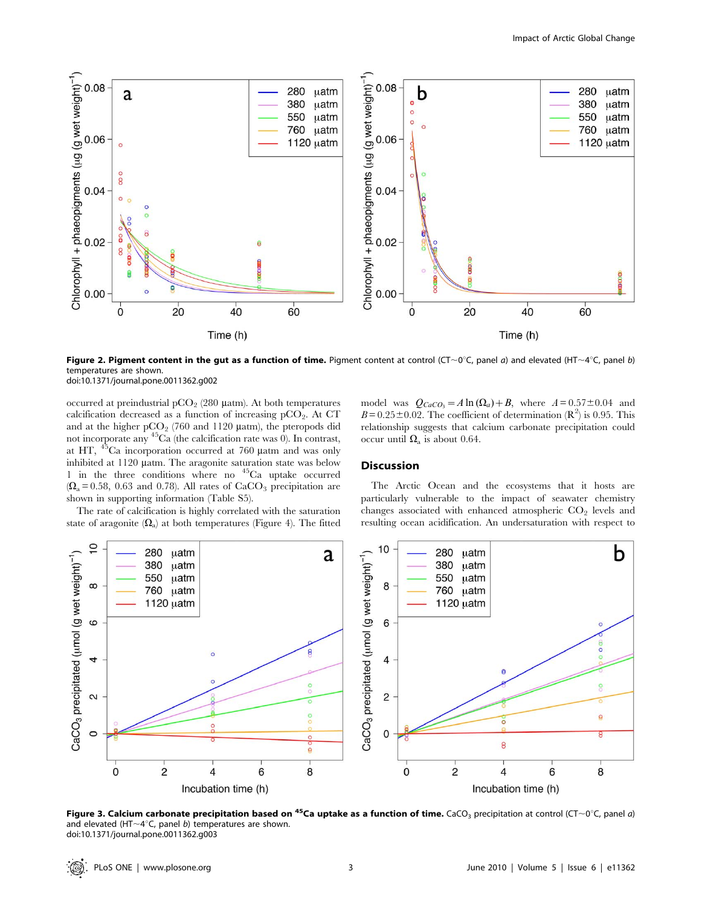

Figure 2. Pigment content in the gut as a function of time. Pigment content at control (CT~0°C, panel a) and elevated (HT~4°C, panel b) temperatures are shown.

doi:10.1371/journal.pone.0011362.g002

occurred at preindustrial  $pCO<sub>2</sub>$  (280 µatm). At both temperatures calcification decreased as a function of increasing  $pCO<sub>2</sub>$ . At CT and at the higher  $pCO<sub>2</sub>$  (760 and 1120  $\mu$ atm), the pteropods did not incorporate any 45Ca (the calcification rate was 0). In contrast, at HT,  $45$ Ca incorporation occurred at 760  $\mu$ atm and was only inhibited at 1120 µatm. The aragonite saturation state was below 1 in the three conditions where no 45Ca uptake occurred  $(\Omega_a = 0.58, 0.63$  and 0.78). All rates of CaCO<sub>3</sub> precipitation are shown in supporting information (Table S5).

The rate of calcification is highly correlated with the saturation state of aragonite  $(\Omega_a)$  at both temperatures (Figure 4). The fitted model was  $Q_{CaCO_3} = A \ln(\Omega_a) + B$ , where  $A = 0.57 \pm 0.04$  and  $B = 0.25 \pm 0.02$ . The coefficient of determination (R<sup>2</sup>) is 0.95. This relationship suggests that calcium carbonate precipitation could occur until  $\Omega_a$  is about 0.64.

#### **Discussion**

The Arctic Ocean and the ecosystems that it hosts are particularly vulnerable to the impact of seawater chemistry changes associated with enhanced atmospheric  $CO<sub>2</sub>$  levels and resulting ocean acidification. An undersaturation with respect to



Figure 3. Calcium carbonate precipitation based on <sup>45</sup>Ca uptake as a function of time. CaCO<sub>3</sub> precipitation at control (CT~0<sup>o</sup>C, panel a) and elevated (HT $\sim$ 4°C, panel b) temperatures are shown. doi:10.1371/journal.pone.0011362.g003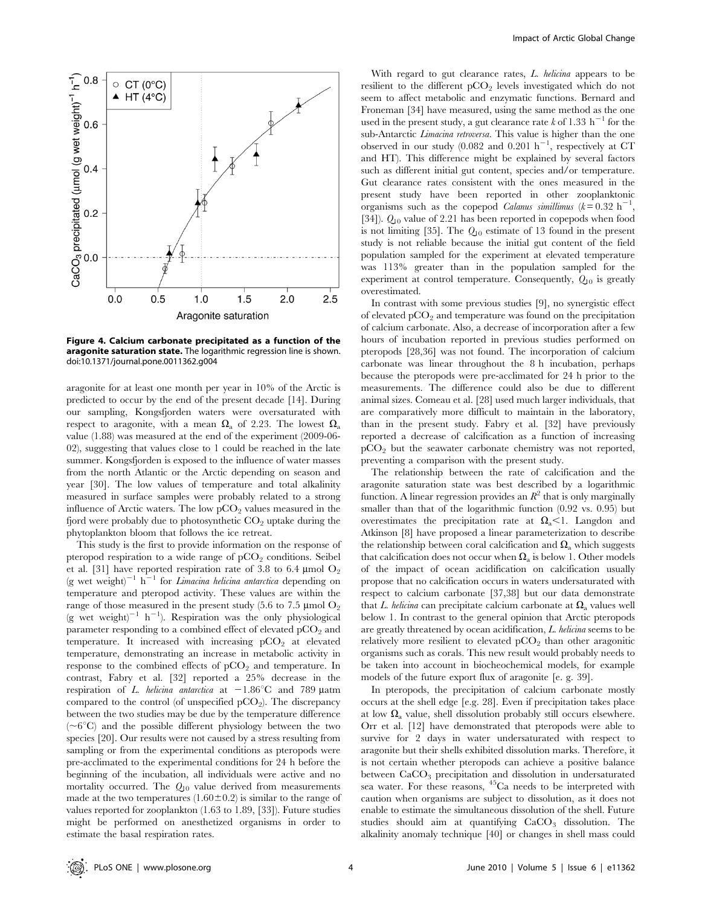

Figure 4. Calcium carbonate precipitated as a function of the aragonite saturation state. The logarithmic regression line is shown. doi:10.1371/journal.pone.0011362.g004

aragonite for at least one month per year in 10% of the Arctic is predicted to occur by the end of the present decade [14]. During our sampling, Kongsfjorden waters were oversaturated with respect to aragonite, with a mean  $\Omega_a$  of 2.23. The lowest  $\Omega_a$ value (1.88) was measured at the end of the experiment (2009-06- 02), suggesting that values close to 1 could be reached in the late summer. Kongsfjorden is exposed to the influence of water masses from the north Atlantic or the Arctic depending on season and year [30]. The low values of temperature and total alkalinity measured in surface samples were probably related to a strong influence of Arctic waters. The low  $pCO<sub>2</sub>$  values measured in the fjord were probably due to photosynthetic  $CO<sub>2</sub>$  uptake during the phytoplankton bloom that follows the ice retreat.

This study is the first to provide information on the response of pteropod respiration to a wide range of  $pCO<sub>2</sub>$  conditions. Seibel et al. [31] have reported respiration rate of 3.8 to 6.4  $\mu$ mol O<sub>2</sub> (g wet weight)<sup>-1</sup> h<sup>-1</sup> for *Limacina helicina antarctica* depending on temperature and pteropod activity. These values are within the range of those measured in the present study (5.6 to 7.5  $\mu$ mol O<sub>2</sub> (g wet weight)<sup>-1</sup> h<sup>-1</sup>). Respiration was the only physiological parameter responding to a combined effect of elevated  $pCO<sub>2</sub>$  and temperature. It increased with increasing  $pCO<sub>2</sub>$  at elevated temperature, demonstrating an increase in metabolic activity in response to the combined effects of  $pCO<sub>2</sub>$  and temperature. In contrast, Fabry et al. [32] reported a 25% decrease in the respiration of L. helicina antarctica at  $-1.86^{\circ}$ C and 789 µatm compared to the control (of unspecified  $pCO<sub>2</sub>$ ). The discrepancy between the two studies may be due by the temperature difference  $(-6^{\circ}C)$  and the possible different physiology between the two species [20]. Our results were not caused by a stress resulting from sampling or from the experimental conditions as pteropods were pre-acclimated to the experimental conditions for 24 h before the beginning of the incubation, all individuals were active and no mortality occurred. The  $Q_{10}$  value derived from measurements made at the two temperatures  $(1.60 \pm 0.2)$  is similar to the range of values reported for zooplankton (1.63 to 1.89, [33]). Future studies might be performed on anesthetized organisms in order to estimate the basal respiration rates.

With regard to gut clearance rates, L. helicina appears to be resilient to the different  $pCO<sub>2</sub>$  levels investigated which do not seem to affect metabolic and enzymatic functions. Bernard and Froneman [34] have measured, using the same method as the one used in the present study, a gut clearance rate k of 1.33 h<sup>-1</sup> for the sub-Antarctic *Limacina retroversa*. This value is higher than the one observed in our study (0.082 and 0.201  $h^{-1}$ , respectively at CT and HT). This difference might be explained by several factors such as different initial gut content, species and/or temperature. Gut clearance rates consistent with the ones measured in the present study have been reported in other zooplanktonic organisms such as the copepod *Calanus simillimus*  $(k=0.32 h^{-1})$ , [34]).  $Q_{10}$  value of 2.21 has been reported in copepods when food is not limiting [35]. The  $Q_{10}$  estimate of 13 found in the present study is not reliable because the initial gut content of the field population sampled for the experiment at elevated temperature was 113% greater than in the population sampled for the experiment at control temperature. Consequently,  $Q_{10}$  is greatly overestimated.

In contrast with some previous studies [9], no synergistic effect of elevated  $pCO<sub>2</sub>$  and temperature was found on the precipitation of calcium carbonate. Also, a decrease of incorporation after a few hours of incubation reported in previous studies performed on pteropods [28,36] was not found. The incorporation of calcium carbonate was linear throughout the 8 h incubation, perhaps because the pteropods were pre-acclimated for 24 h prior to the measurements. The difference could also be due to different animal sizes. Comeau et al. [28] used much larger individuals, that are comparatively more difficult to maintain in the laboratory, than in the present study. Fabry et al. [32] have previously reported a decrease of calcification as a function of increasing pCO2 but the seawater carbonate chemistry was not reported, preventing a comparison with the present study.

The relationship between the rate of calcification and the aragonite saturation state was best described by a logarithmic function. A linear regression provides an  $R^2$  that is only marginally smaller than that of the logarithmic function (0.92 vs. 0.95) but overestimates the precipitation rate at  $\Omega$ <sub>a</sub> $<$ 1. Langdon and Atkinson [8] have proposed a linear parameterization to describe the relationship between coral calcification and  $\Omega$ <sub>a</sub> which suggests that calcification does not occur when  $\Omega_a$  is below 1. Other models of the impact of ocean acidification on calcification usually propose that no calcification occurs in waters undersaturated with respect to calcium carbonate [37,38] but our data demonstrate that L. helicina can precipitate calcium carbonate at  $\Omega$ <sub>a</sub> values well below 1. In contrast to the general opinion that Arctic pteropods are greatly threatened by ocean acidification, L. helicina seems to be relatively more resilient to elevated  $pCO<sub>2</sub>$  than other aragonitic organisms such as corals. This new result would probably needs to be taken into account in biocheochemical models, for example models of the future export flux of aragonite [e. g. 39].

In pteropods, the precipitation of calcium carbonate mostly occurs at the shell edge [e.g. 28]. Even if precipitation takes place at low  $\Omega_a$  value, shell dissolution probably still occurs elsewhere. Orr et al. [12] have demonstrated that pteropods were able to survive for 2 days in water undersaturated with respect to aragonite but their shells exhibited dissolution marks. Therefore, it is not certain whether pteropods can achieve a positive balance between CaCO<sub>3</sub> precipitation and dissolution in undersaturated sea water. For these reasons, 45Ca needs to be interpreted with caution when organisms are subject to dissolution, as it does not enable to estimate the simultaneous dissolution of the shell. Future studies should aim at quantifying CaCO<sub>3</sub> dissolution. The alkalinity anomaly technique [40] or changes in shell mass could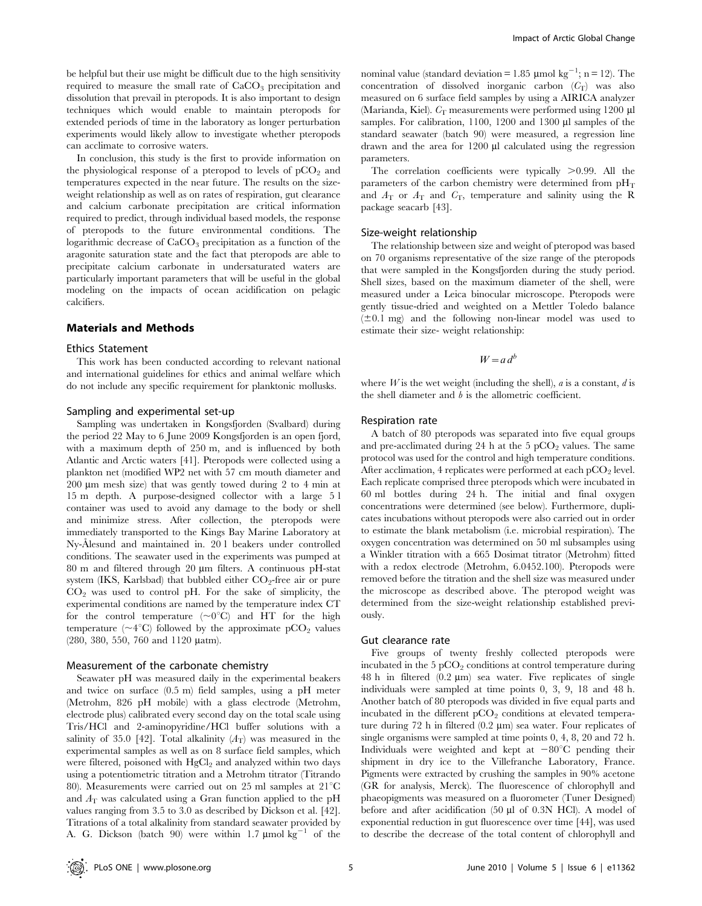be helpful but their use might be difficult due to the high sensitivity required to measure the small rate of  $CaCO<sub>3</sub>$  precipitation and dissolution that prevail in pteropods. It is also important to design techniques which would enable to maintain pteropods for extended periods of time in the laboratory as longer perturbation experiments would likely allow to investigate whether pteropods can acclimate to corrosive waters.

In conclusion, this study is the first to provide information on the physiological response of a pteropod to levels of  $pCO<sub>2</sub>$  and temperatures expected in the near future. The results on the sizeweight relationship as well as on rates of respiration, gut clearance and calcium carbonate precipitation are critical information required to predict, through individual based models, the response of pteropods to the future environmental conditions. The logarithmic decrease of CaCO<sub>3</sub> precipitation as a function of the aragonite saturation state and the fact that pteropods are able to precipitate calcium carbonate in undersaturated waters are particularly important parameters that will be useful in the global modeling on the impacts of ocean acidification on pelagic calcifiers.

#### Materials and Methods

#### Ethics Statement

This work has been conducted according to relevant national and international guidelines for ethics and animal welfare which do not include any specific requirement for planktonic mollusks.

#### Sampling and experimental set-up

Sampling was undertaken in Kongsfjorden (Svalbard) during the period 22 May to 6 June 2009 Kongsfjorden is an open fjord, with a maximum depth of 250 m, and is influenced by both Atlantic and Arctic waters [41]. Pteropods were collected using a plankton net (modified WP2 net with 57 cm mouth diameter and 200  $\mu$ m mesh size) that was gently towed during 2 to 4 min at 15 m depth. A purpose-designed collector with a large 5 l container was used to avoid any damage to the body or shell and minimize stress. After collection, the pteropods were immediately transported to the Kings Bay Marine Laboratory at Ny-Ålesund and maintained in. 20 l beakers under controlled conditions. The seawater used in the experiments was pumped at 80 m and filtered through 20 µm filters. A continuous pH-stat system (IKS, Karlsbad) that bubbled either  $CO<sub>2</sub>$ -free air or pure  $CO<sub>2</sub>$  was used to control pH. For the sake of simplicity, the experimental conditions are named by the temperature index CT for the control temperature  $(\sim 0^{\circ}C)$  and HT for the high temperature ( $\sim$ 4°C) followed by the approximate pCO<sub>2</sub> values (280, 380, 550, 760 and 1120 µatm).

#### Measurement of the carbonate chemistry

Seawater pH was measured daily in the experimental beakers and twice on surface (0.5 m) field samples, using a pH meter (Metrohm, 826 pH mobile) with a glass electrode (Metrohm, electrode plus) calibrated every second day on the total scale using Tris/HCl and 2-aminopyridine/HCl buffer solutions with a salinity of 35.0 [42]. Total alkalinity  $(A_T)$  was measured in the experimental samples as well as on 8 surface field samples, which were filtered, poisoned with  $HgCl<sub>2</sub>$  and analyzed within two days using a potentiometric titration and a Metrohm titrator (Titrando 80). Measurements were carried out on 25 ml samples at  $21^{\circ}C$ and  $A<sub>T</sub>$  was calculated using a Gran function applied to the pH values ranging from 3.5 to 3.0 as described by Dickson et al. [42]. Titrations of a total alkalinity from standard seawater provided by A. G. Dickson (batch 90) were within 1.7  $\mu$ mol kg<sup>-1</sup> of the

nominal value (standard deviation =  $1.85 \mu$ mol kg<sup>-1</sup>; n = 12). The concentration of dissolved inorganic carbon  $(C_T)$  was also measured on 6 surface field samples by using a AIRICA analyzer (Marianda, Kiel).  $C_T$  measurements were performed using 1200 µl samples. For calibration, 1100, 1200 and 1300 µl samples of the standard seawater (batch 90) were measured, a regression line drawn and the area for 1200 µl calculated using the regression parameters.

The correlation coefficients were typically  $>0.99$ . All the parameters of the carbon chemistry were determined from  $\rm pH_{T}$ and  $A_T$  or  $A_T$  and  $C_T$ , temperature and salinity using the R package seacarb [43].

### Size-weight relationship

The relationship between size and weight of pteropod was based on 70 organisms representative of the size range of the pteropods that were sampled in the Kongsfjorden during the study period. Shell sizes, based on the maximum diameter of the shell, were measured under a Leica binocular microscope. Pteropods were gently tissue-dried and weighted on a Mettler Toledo balance  $(±0.1$  mg) and the following non-linear model was used to estimate their size- weight relationship:

#### $W=a d^b$

where  $W$  is the wet weight (including the shell),  $a$  is a constant,  $d$  is the shell diameter and b is the allometric coefficient.

#### Respiration rate

A batch of 80 pteropods was separated into five equal groups and pre-acclimated during 24 h at the  $5 \text{ pCO}_2$  values. The same protocol was used for the control and high temperature conditions. After acclimation, 4 replicates were performed at each  $pCO<sub>2</sub>$  level. Each replicate comprised three pteropods which were incubated in 60 ml bottles during 24 h. The initial and final oxygen concentrations were determined (see below). Furthermore, duplicates incubations without pteropods were also carried out in order to estimate the blank metabolism (i.e. microbial respiration). The oxygen concentration was determined on 50 ml subsamples using a Winkler titration with a 665 Dosimat titrator (Metrohm) fitted with a redox electrode (Metrohm, 6.0452.100). Pteropods were removed before the titration and the shell size was measured under the microscope as described above. The pteropod weight was determined from the size-weight relationship established previously.

#### Gut clearance rate

Five groups of twenty freshly collected pteropods were incubated in the  $5 pCO<sub>2</sub>$  conditions at control temperature during 48 h in filtered  $(0.2 \mu m)$  sea water. Five replicates of single individuals were sampled at time points 0, 3, 9, 18 and 48 h. Another batch of 80 pteropods was divided in five equal parts and incubated in the different  $pCO<sub>2</sub>$  conditions at elevated temperature during 72 h in filtered  $(0.2 \mu m)$  sea water. Four replicates of single organisms were sampled at time points 0, 4, 8, 20 and 72 h. Individuals were weighted and kept at  $-80^{\circ}$ C pending their shipment in dry ice to the Villefranche Laboratory, France. Pigments were extracted by crushing the samples in 90% acetone (GR for analysis, Merck). The fluorescence of chlorophyll and phaeopigments was measured on a fluorometer (Tuner Designed) before and after acidification (50 µl of 0.3N HCl). A model of exponential reduction in gut fluorescence over time [44], was used to describe the decrease of the total content of chlorophyll and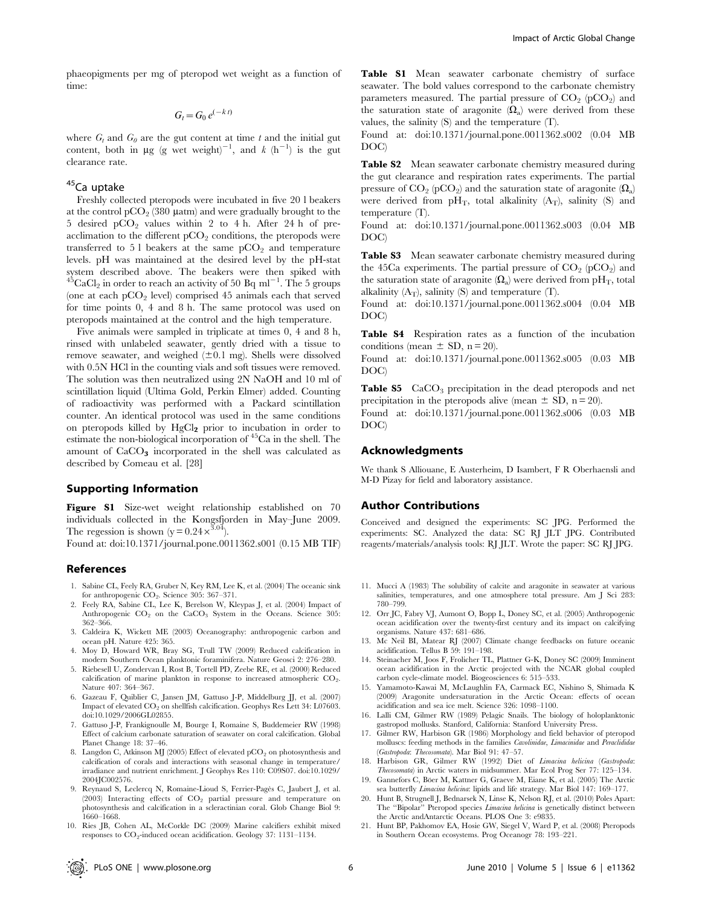phaeopigments per mg of pteropod wet weight as a function of time:

 $G_t = G_0 e^{(-k t)}$ 

where  $G_t$  and  $G_0$  are the gut content at time t and the initial gut content, both in  $\mu$ g (g wet weight)<sup>-1</sup>, and k (h<sup>-1</sup>) is the gut clearance rate.

### 45Ca uptake

Freshly collected pteropods were incubated in five 20 l beakers at the control pCO<sub>2</sub> (380  $\mu$ atm) and were gradually brought to the 5 desired  $pCO<sub>2</sub>$  values within 2 to 4 h. After 24 h of preacclimation to the different  $pCO<sub>2</sub>$  conditions, the pteropods were transferred to  $51$  beakers at the same pCO<sub>2</sub> and temperature levels. pH was maintained at the desired level by the pH-stat system described above. The beakers were then spiked with  $^{45}$ CaCl<sub>2</sub> in order to reach an activity of 50 Bq ml<sup>-1</sup>. The 5 groups (one at each  $pCO<sub>2</sub>$  level) comprised 45 animals each that served for time points 0, 4 and 8 h. The same protocol was used on pteropods maintained at the control and the high temperature.

Five animals were sampled in triplicate at times 0, 4 and 8 h, rinsed with unlabeled seawater, gently dried with a tissue to remove seawater, and weighed  $(\pm 0.1 \text{ mg})$ . Shells were dissolved with 0.5N HCl in the counting vials and soft tissues were removed. The solution was then neutralized using 2N NaOH and 10 ml of scintillation liquid (Ultima Gold, Perkin Elmer) added. Counting of radioactivity was performed with a Packard scintillation counter. An identical protocol was used in the same conditions on pteropods killed by  $HgCl<sub>2</sub>$  prior to incubation in order to estimate the non-biological incorporation of 45Ca in the shell. The amount of  $CaCO<sub>3</sub>$  incorporated in the shell was calculated as described by Comeau et al. [28]

#### Supporting Information

Figure S1 Size-wet weight relationship established on 70 individuals collected in the Kongsfjorden in May–June 2009. The regession is shown  $(y = 0.24 \times 3.04)$ .

Found at: doi:10.1371/journal.pone.0011362.s001 (0.15 MB TIF)

#### References

- 1. Sabine CL, Feely RA, Gruber N, Key RM, Lee K, et al. (2004) The oceanic sink for anthropogenic CO<sub>2</sub>. Science 305: 367-371.
- 2. Feely RA, Sabine CL, Lee K, Berelson W, Kleypas J, et al. (2004) Impact of Anthropogenic  $CO<sub>2</sub>$  on the  $CaCO<sub>3</sub>$  System in the Oceans. Science 305: 362–366.
- 3. Caldeira K, Wickett ME (2003) Oceanography: anthropogenic carbon and ocean pH. Nature 425: 365.
- 4. Moy D, Howard WR, Bray SG, Trull TW (2009) Reduced calcification in modern Southern Ocean planktonic foraminifera. Nature Geosci 2: 276–280.
- 5. Riebesell U, Zondervan I, Rost B, Tortell PD, Zeebe RE, et al. (2000) Reduced calcification of marine plankton in response to increased atmospheric CO<sub>2</sub>. Nature 407: 364–367.
- 6. Gazeau F, Quiblier C, Jansen JM, Gattuso J-P, Middelburg JJ, et al. (2007) Impact of elevated  $CO_2$  on shellfish calcification. Geophys Res Lett 34: L07603. doi:10.1029/2006GL02855.
- 7. Gattuso J-P, Frankignoulle M, Bourge I, Romaine S, Buddemeier RW (1998) Effect of calcium carbonate saturation of seawater on coral calcification. Global Planet Change 18: 37–46.
- 8. Langdon C, Atkinson MJ (2005) Effect of elevated  $\textrm{pCO}_2$  on photosynthesis and calcification of corals and interactions with seasonal change in temperature/ irradiance and nutrient enrichment. J Geophys Res 110: C09S07. doi:10.1029/ 2004JC002576.
- 9. Reynaud S, Leclercq N, Romaine-Lioud S, Ferrier-Pagès C, Jaubert J, et al. (2003) Interacting effects of  $CO<sub>2</sub>$  partial pressure and temperature on photosynthesis and calcification in a scleractinian coral. Glob Change Biol 9: 1660–1668.
- 10. Ries JB, Cohen AL, McCorkle DC (2009) Marine calcifiers exhibit mixed responses to CO<sub>2</sub>-induced ocean acidification. Geology 37: 1131-1134.

Table S1 Mean seawater carbonate chemistry of surface seawater. The bold values correspond to the carbonate chemistry parameters measured. The partial pressure of  $CO<sub>2</sub>$  (pCO<sub>2</sub>) and the saturation state of aragonite  $(\Omega_a)$  were derived from these values, the salinity (S) and the temperature (T).

Found at: doi:10.1371/journal.pone.0011362.s002 (0.04 MB DOC)

Table S2 Mean seawater carbonate chemistry measured during the gut clearance and respiration rates experiments. The partial pressure of  $CO_2$  (pCO<sub>2</sub>) and the saturation state of aragonite  $(\Omega_a)$ were derived from  $pH_T$ , total alkalinity  $(A_T)$ , salinity  $(S)$  and temperature (T).

Found at: doi:10.1371/journal.pone.0011362.s003 (0.04 MB DOC)

Table S3 Mean seawater carbonate chemistry measured during the 45Ca experiments. The partial pressure of  $CO<sub>2</sub>$  (pCO<sub>2</sub>) and the saturation state of aragonite  $(\Omega_a)$  were derived from pH<sub>T</sub>, total alkalinity  $(A_T)$ , salinity  $(S)$  and temperature  $(T)$ .

Found at: doi:10.1371/journal.pone.0011362.s004 (0.04 MB DOC)

Table S4 Respiration rates as a function of the incubation conditions (mean  $\pm$  SD, n = 20).

Found at: doi:10.1371/journal.pone.0011362.s005 (0.03 MB DOC)

**Table S5**  $CaCO<sub>3</sub>$  precipitation in the dead pteropods and net precipitation in the pteropods alive (mean  $\pm$  SD, n = 20).

Found at: doi:10.1371/journal.pone.0011362.s006 (0.03 MB DOC)

#### Acknowledgments

We thank S Alliouane, E Austerheim, D Isambert, F R Oberhaensli and M-D Pizay for field and laboratory assistance.

#### Author Contributions

Conceived and designed the experiments: SC JPG. Performed the experiments: SC. Analyzed the data: SC RJ JLT JPG. Contributed reagents/materials/analysis tools: RJ JLT. Wrote the paper: SC RJ JPG.

- 11. Mucci A (1983) The solubility of calcite and aragonite in seawater at various salinities, temperatures, and one atmosphere total pressure. Am J Sci 283: 780–799.
- 12. Orr JC, Fabry VJ, Aumont O, Bopp L, Doney SC, et al. (2005) Anthropogenic ocean acidification over the twenty-first century and its impact on calcifying organisms. Nature 437: 681–686.
- 13. Mc Neil BI, Matear RJ (2007) Climate change feedbacks on future oceanic acidification. Tellus B 59: 191–198.
- 14. Steinacher M, Joos F, Frolicher TL, Plattner G-K, Doney SC (2009) Imminent ocean acidification in the Arctic projected with the NCAR global coupled carbon cycle-climate model. Biogeosciences 6: 515–533.
- 15. Yamamoto-Kawai M, McLaughlin FA, Carmack EC, Nishino S, Shimada K (2009) Aragonite undersaturation in the Arctic Ocean: effects of ocean acidification and sea ice melt. Science 326: 1098–1100.
- 16. Lalli CM, Gilmer RW (1989) Pelagic Snails. The biology of holoplanktonic gastropod mollusks. Stanford, California: Stanford University Press.
- 17. Gilmer RW, Harbison GR (1986) Morphology and field behavior of pteropod molluscs: feeding methods in the families Cavolinidae, Limacinidae and Peraclididae (Gastropoda: Thecosomata). Mar Biol 91: 47–57.
- 18. Harbison GR, Gilmer RW (1992) Diet of Limacina helicina (Gastropoda: Thecosomata) in Arctic waters in midsummer. Mar Ecol Prog Ser 77: 125–134.
- 19. Gannefors C, Böer M, Kattner G, Graeve M, Eiane K, et al. (2005) The Arctic sea butterfly Limacina helicina: lipids and life strategy. Mar Biol 147: 169–177.
- 20. Hunt B, Strugnell J, Bednarsek N, Linse K, Nelson RJ, et al. (2010) Poles Apart: The "Bipolar" Pteropod species Limacina helicina is genetically distinct between the Arctic andAntarctic Oceans. PLOS One 3: e9835.
- 21. Hunt BP, Pakhomov EA, Hosie GW, Siegel V, Ward P, et al. (2008) Pteropods in Southern Ocean ecosystems. Prog Oceanogr 78: 193–221.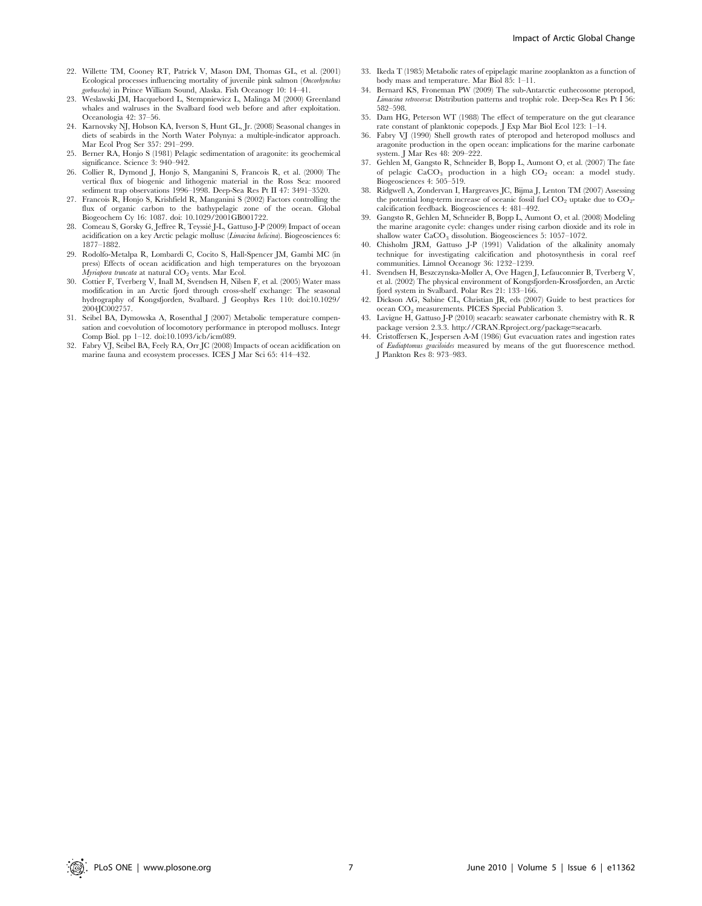- 22. Willette TM, Cooney RT, Patrick V, Mason DM, Thomas GL, et al. (2001) Ecological processes influencing mortality of juvenile pink salmon (Oncorhynchus gorbuscha) in Prince William Sound, Alaska. Fish Oceanogr 10: 14–41.
- 23. Weslawski JM, Hacquebord L, Stempniewicz L, Malinga M (2000) Greenland whales and walruses in the Svalbard food web before and after exploitation. Oceanologia 42: 37–56.
- 24. Karnovsky NJ, Hobson KA, Iverson S, Hunt GL, Jr. (2008) Seasonal changes in diets of seabirds in the North Water Polynya: a multiple-indicator approach. Mar Ecol Prog Ser 357: 291–299.
- 25. Berner RA, Honjo S (1981) Pelagic sedimentation of aragonite: its geochemical significance. Science 3: 940–942.
- 26. Collier R, Dymond J, Honjo S, Manganini S, Francois R, et al. (2000) The vertical flux of biogenic and lithogenic material in the Ross Sea: moored sediment trap observations 1996–1998. Deep-Sea Res Pt II 47: 3491–3520.
- 27. Francois R, Honjo S, Krishfield R, Manganini S (2002) Factors controlling the flux of organic carbon to the bathypelagic zone of the ocean. Global Biogeochem Cy 16: 1087. doi: 10.1029/2001GB001722.
- 28. Comeau S, Gorsky G, Jeffree R, Teyssie J-L, Gattuso J-P (2009) Impact of ocean acidification on a key Arctic pelagic mollusc (Limacina helicina). Biogeosciences 6: 1877–1882.
- 29. Rodolfo-Metalpa R, Lombardi C, Cocito S, Hall-Spencer JM, Gambi MC (in press) Effects of ocean acidification and high temperatures on the bryozoan  $Mv$ riabora truncata at natural  $CO<sub>2</sub>$  vents. Mar Ecol.
- 30. Cottier F, Tverberg V, Inall M, Svendsen H, Nilsen F, et al. (2005) Water mass modification in an Arctic fjord through cross-shelf exchange: The seasonal hydrography of Kongsfjorden, Svalbard. J Geophys Res 110: doi:10.1029/ 2004JC002757.
- 31. Seibel BA, Dymowska A, Rosenthal J (2007) Metabolic temperature compensation and coevolution of locomotory performance in pteropod molluscs. Integr Comp Biol. pp 1–12. doi:10.1093/icb/icm089.
- 32. Fabry VJ, Seibel BA, Feely RA, Orr JC (2008) Impacts of ocean acidification on marine fauna and ecosystem processes. ICES J Mar Sci 65: 414–432.
- 33. Ikeda T (1985) Metabolic rates of epipelagic marine zooplankton as a function of body mass and temperature. Mar Biol 85: 1–11.
- 34. Bernard KS, Froneman PW (2009) The sub-Antarctic euthecosome pteropod, Limacina retroversa: Distribution patterns and trophic role. Deep-Sea Res Pt I 56: 582–598.
- 35. Dam HG, Peterson WT (1988) The effect of temperature on the gut clearance rate constant of planktonic copepods. J Exp Mar Biol Ecol 123: 1–14.
- 36. Fabry VJ (1990) Shell growth rates of pteropod and heteropod molluscs and aragonite production in the open ocean: implications for the marine carbonate system. J Mar Res 48: 209–222.
- 37. Gehlen M, Gangstø R, Schneider B, Bopp L, Aumont O, et al. (2007) The fate of pelagic  $CaCO<sub>3</sub>$  production in a high  $CO<sub>2</sub>$  ocean: a model study. Biogeosciences 4: 505–519.
- 38. Ridgwell A, Zondervan I, Hargreaves JC, Bijma J, Lenton TM (2007) Assessing the potential long-term increase of oceanic fossil fuel  $CO<sub>2</sub>$  uptake due to  $CO<sub>2</sub>$ calcification feedback. Biogeosciences 4: 481–492.
- 39. Gangstø R, Gehlen M, Schneider B, Bopp L, Aumont O, et al. (2008) Modeling the marine aragonite cycle: changes under rising carbon dioxide and its role in shallow water  $\text{CaCO}_3$  dissolution. Biogeosciences 5: 1057–1072.
- 40. Chisholm JRM, Gattuso J-P (1991) Validation of the alkalinity anomaly technique for investigating calcification and photosynthesis in coral reef communities. Limnol Oceanogr 36: 1232–1239.
- 41. Svendsen H, Beszczynska-Møller A, Ove Hagen J, Lefauconnier B, Tverberg V, et al. (2002) The physical environment of Kongsfjorden-Krossfjorden, an Arctic fjord system in Svalbard. Polar Res 21: 133–166.
- 42. Dickson AG, Sabine CL, Christian JR, eds (2007) Guide to best practices for ocean CO<sub>2</sub> measurements. PICES Special Publication 3.<br>43. Lavigne H, Gattuso J-P (2010) seacarb: seawater carbonate chemistry with R. R
- package version 2.3.3. http://CRAN.Rproject.org/package=seacarb.
- 44. Cristoffersen K, Jespersen A-M (1986) Gut evacuation rates and ingestion rates of Eudiaptomus graciloides measured by means of the gut fluorescence method. J Plankton Res 8: 973–983.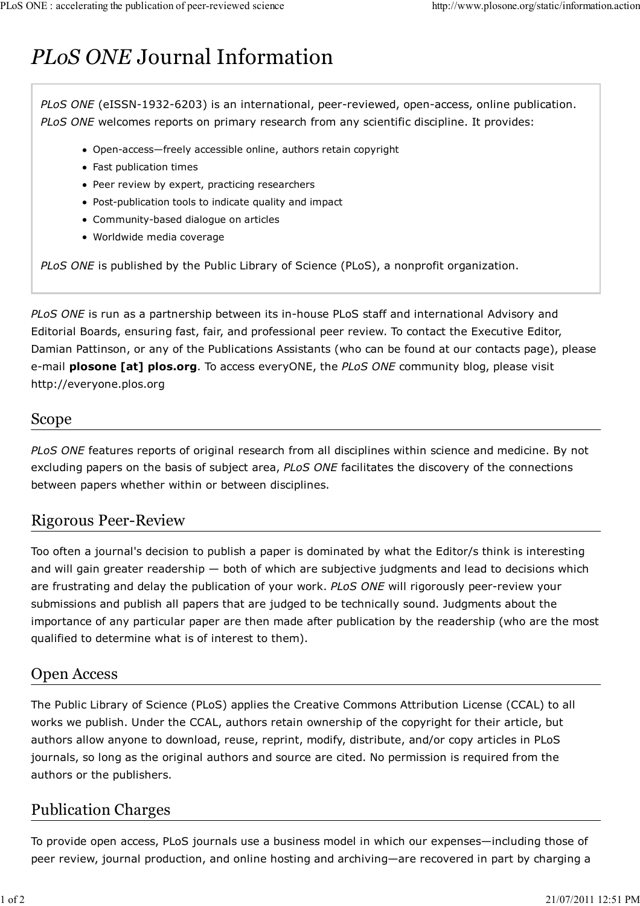# *PLoS ONE* Journal Information

*PLoS ONE* (eISSN-1932-6203) is an international, peer-reviewed, open-access, online publication. *PLoS ONE* welcomes reports on primary research from any scientific discipline. It provides:

- Open-access—freely accessible online, authors retain copyright
- Fast publication times
- Peer review by expert, practicing researchers
- Post-publication tools to indicate quality and impact
- Community-based dialogue on articles
- Worldwide media coverage

*PLoS ONE* is published by the Public Library of Science (PLoS), a nonprofit organization.

*PLoS ONE* is run as a partnership between its in-house PLoS staff and international Advisory and Editorial Boards, ensuring fast, fair, and professional peer review. To contact the Executive Editor, Damian Pattinson, or any of the Publications Assistants (who can be found at our contacts page), please e-mail **plosone [at] plos.org**. To access everyONE, the *PLoS ONE* community blog, please visit http://everyone.plos.org

## Scope

*PLoS ONE* features reports of original research from all disciplines within science and medicine. By not excluding papers on the basis of subject area, *PLoS ONE* facilitates the discovery of the connections between papers whether within or between disciplines.

# Rigorous Peer-Review

Too often a journal's decision to publish a paper is dominated by what the Editor/s think is interesting and will gain greater readership — both of which are subjective judgments and lead to decisions which are frustrating and delay the publication of your work. *PLoS ONE* will rigorously peer-review your submissions and publish all papers that are judged to be technically sound. Judgments about the importance of any particular paper are then made after publication by the readership (who are the most qualified to determine what is of interest to them).

## Open Access

The Public Library of Science (PLoS) applies the Creative Commons Attribution License (CCAL) to all works we publish. Under the CCAL, authors retain ownership of the copyright for their article, but authors allow anyone to download, reuse, reprint, modify, distribute, and/or copy articles in PLoS journals, so long as the original authors and source are cited. No permission is required from the authors or the publishers.

# Publication Charges

To provide open access, PLoS journals use a business model in which our expenses—including those of peer review, journal production, and online hosting and archiving—are recovered in part by charging a